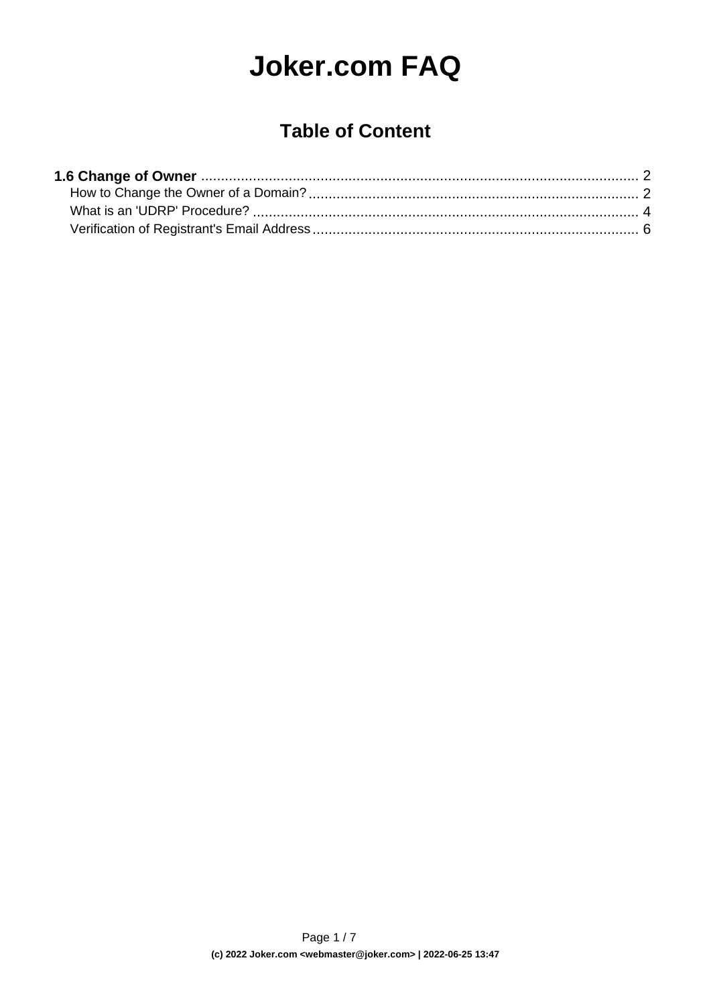# **Joker.com FAQ**

### **Table of Content**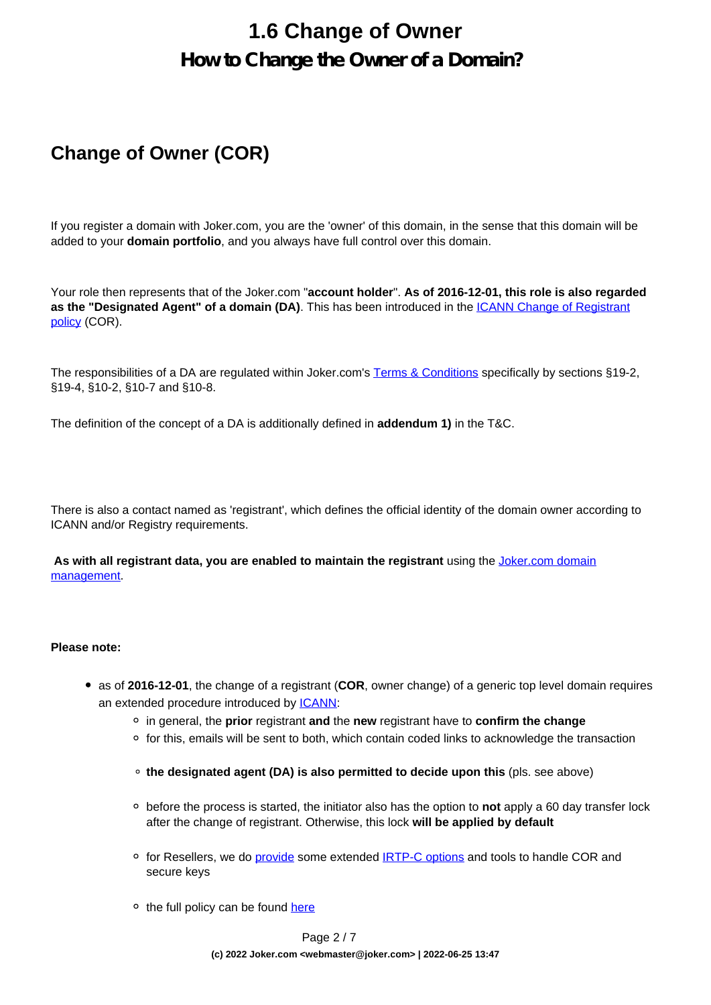# **1.6 Change of Owner How to Change the Owner of a Domain?**

### <span id="page-1-0"></span>**Change of Owner (COR)**

If you register a domain with Joker.com, you are the 'owner' of this domain, in the sense that this domain will be added to your **domain portfolio**, and you always have full control over this domain.

Your role then represents that of the Joker.com "**account holder**". **As of 2016-12-01, this role is also regarded as the "Designated Agent" of a domain (DA)**. This has been introduced in the [ICANN Change of Registrant](/goto/icann_irtp) [policy](/goto/icann_irtp) (COR).

The responsibilities of a DA are regulated within Joker.com's [Terms & Conditions](https://joker.com/goto/tc) specifically by sections §19-2, §19-4, §10-2, §10-7 and §10-8.

The definition of the concept of a DA is additionally defined in **addendum 1)** in the T&C.

There is also a contact named as 'registrant', which defines the official identity of the domain owner according to ICANN and/or Registry requirements.

 **As with all registrant data, you are enabled to maintain the registrant** using the [Joker.com domain](/goto/modify) [management.](/goto/modify)

#### **Please note:**

- as of **2016-12-01**, the change of a registrant (**COR**, owner change) of a generic top level domain requires an extended procedure introduced by [ICANN](/goto/icann_irtp):
	- in general, the **prior** registrant **and** the **new** registrant have to **confirm the change**
	- $\circ$  for this, emails will be sent to both, which contain coded links to acknowledge the transaction
	- **the designated agent (DA) is also permitted to decide upon this** (pls. see above)
	- before the process is started, the initiator also has the option to **not** apply a 60 day transfer lock after the change of registrant. Otherwise, this lock **will be applied by default**
	- $\circ$  for Resellers, we do [provide](https://joker.com/goto/resdocs) some extended [IRTP-C options](https://joker.com/goto/resdocs) and tools to handle COR and secure keys
	- <sup>o</sup> the full policy can be found [here](https://joker.com/goto/icann_irtp)

Page 2 / 7 **(c) 2022 Joker.com <webmaster@joker.com> | 2022-06-25 13:47**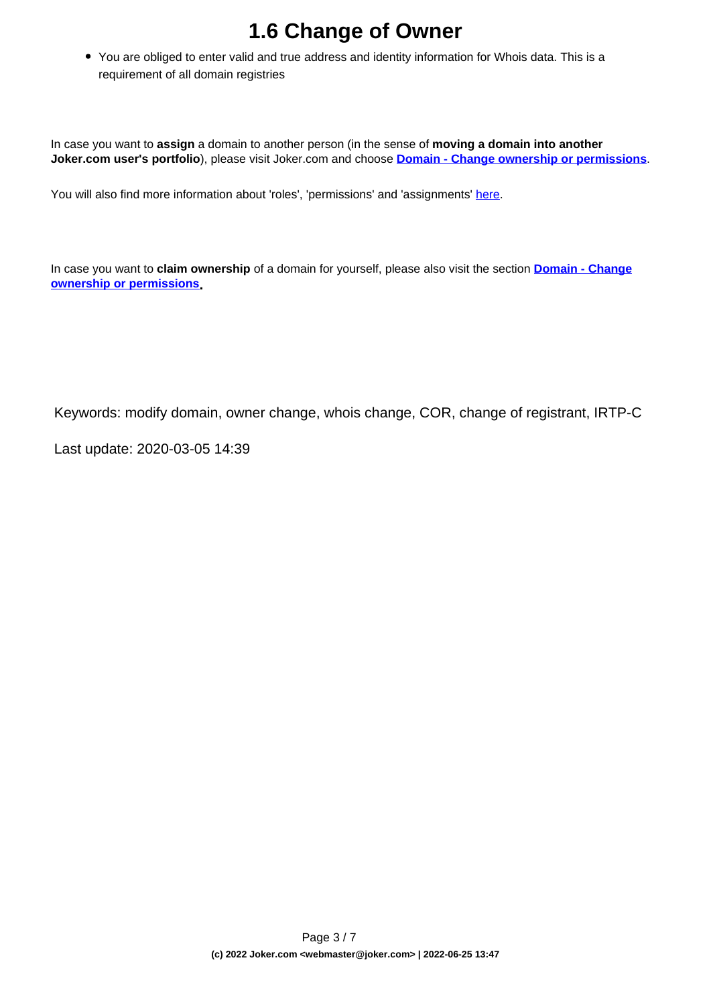# **1.6 Change of Owner**

You are obliged to enter valid and true address and identity information for Whois data. This is a requirement of all domain registries

In case you want to **assign** a domain to another person (in the sense of **moving a domain into another Joker.com user's portfolio**), please visit Joker.com and choose **[Domain - Change ownership or permissions](https://joker.com/goto/oc1)**.

You will also find more information about 'roles', 'permissions' and 'assignments' [here.](content/3/51/en/how-do-i-transfer-a-domain-to-my-account-if-the-domain-is-already-at-jokercom-but-on-another-account.html)

In case you want to **claim ownership** of a domain for yourself, please also visit the section **[Domain - Change](https://joker.com/goto/oc1) [ownership or permissions](https://joker.com/goto/oc1).**

Keywords: modify domain, owner change, whois change, COR, change of registrant, IRTP-C

Last update: 2020-03-05 14:39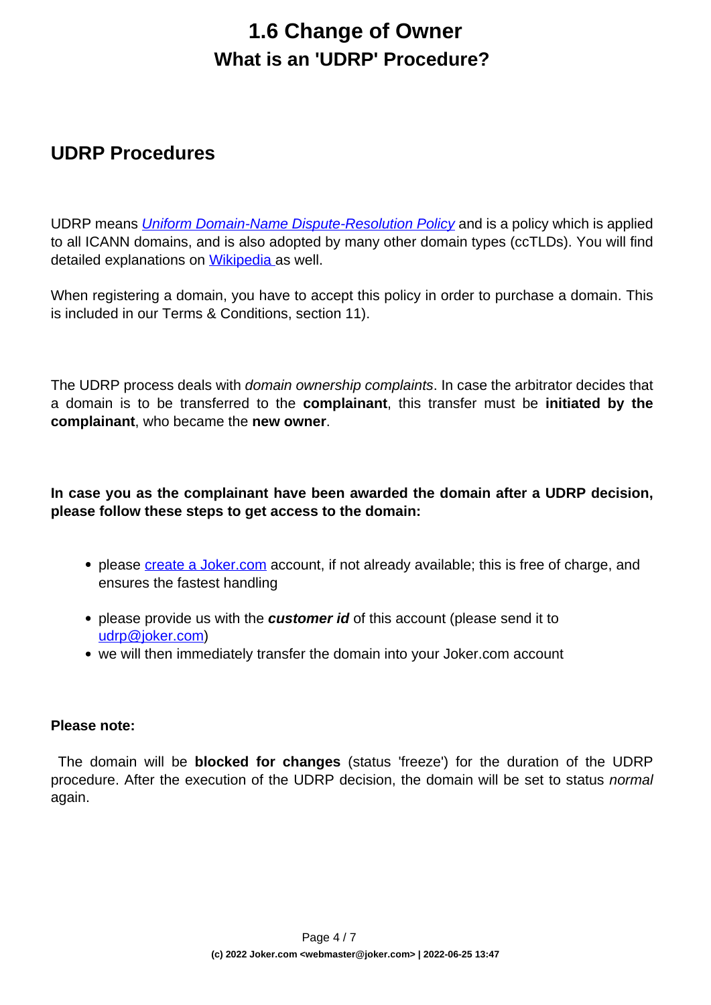## **1.6 Change of Owner What is an 'UDRP' Procedure?**

#### <span id="page-3-0"></span>**UDRP Procedures**

UDRP means *[Uniform Domain-Name Dispute-Resolution Policy](/goto/icann_udrp)* and is a policy which is applied to all ICANN domains, and is also adopted by many other domain types (ccTLDs). You will find detailed explanations on [Wikipedia a](https://en.wikipedia.org/wiki/Uniform_Domain-Name_Dispute-Resolution_Policy)s well.

When registering a domain, you have to accept this policy in order to purchase a domain. This is included in our Terms & Conditions, section 11).

The UDRP process deals with *domain ownership complaints*. In case the arbitrator decides that a domain is to be transferred to the **complainant**, this transfer must be **initiated by the complainant**, who became the **new owner**.

#### **In case you as the complainant have been awarded the domain after a UDRP decision, please follow these steps to get access to the domain:**

- please [create a Joker.com](/goto/userreg) account, if not already available; this is free of charge, and ensures the fastest handling
- please provide us with the **customer id** of this account (please send it to [udrp@joker.com\)](mailto:udrp@joker.com)
- we will then immediately transfer the domain into your Joker.com account

#### **Please note:**

 The domain will be **blocked for changes** (status 'freeze') for the duration of the UDRP procedure. After the execution of the UDRP decision, the domain will be set to status normal again.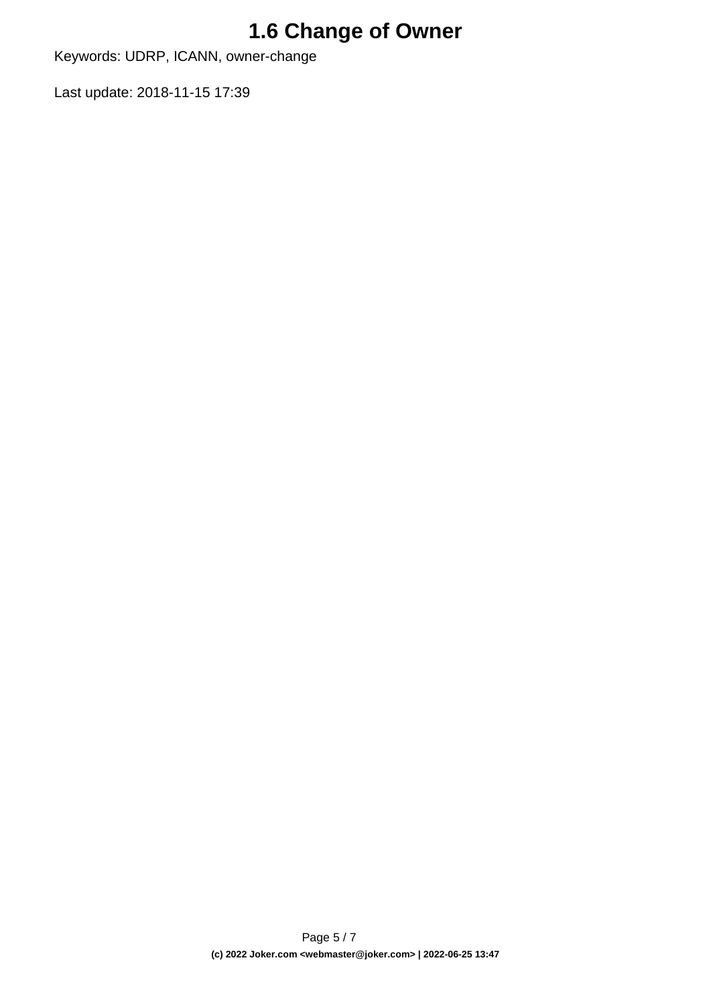# **1.6 Change of Owner**

Keywords: UDRP, ICANN, owner-change

Last update: 2018-11-15 17:39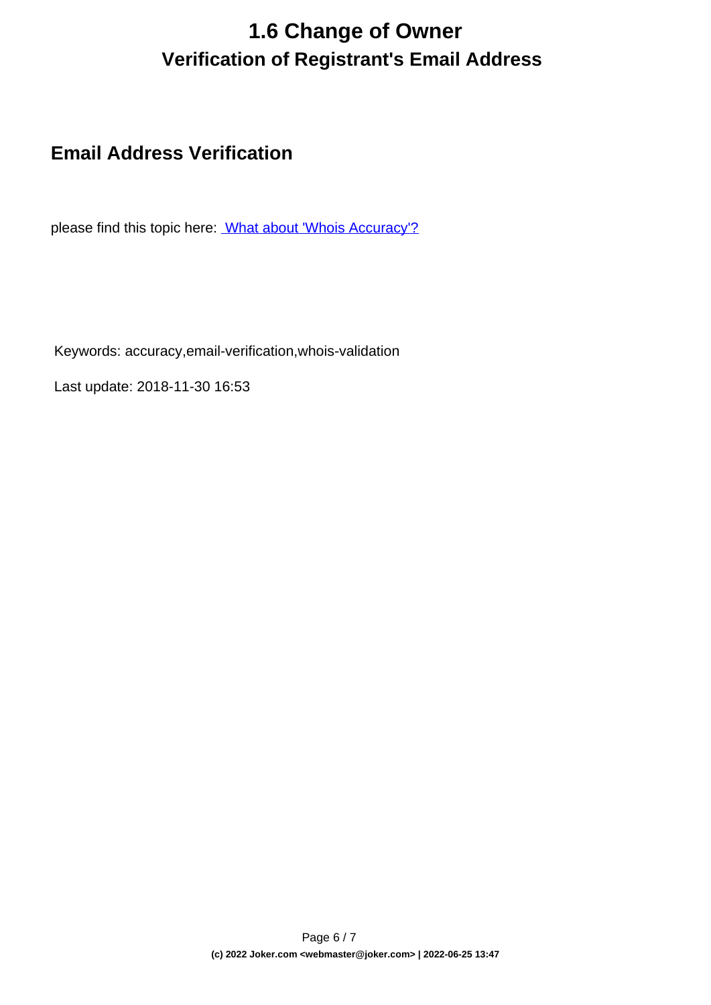# **1.6 Change of Owner Verification of Registrant's Email Address**

### <span id="page-5-0"></span>**Email Address Verification**

please find this topic here: [What about 'Whois Accuracy'?](index.php?action=artikel&cat=52&id=473&artlang=en)

Keywords: accuracy,email-verification,whois-validation

Last update: 2018-11-30 16:53